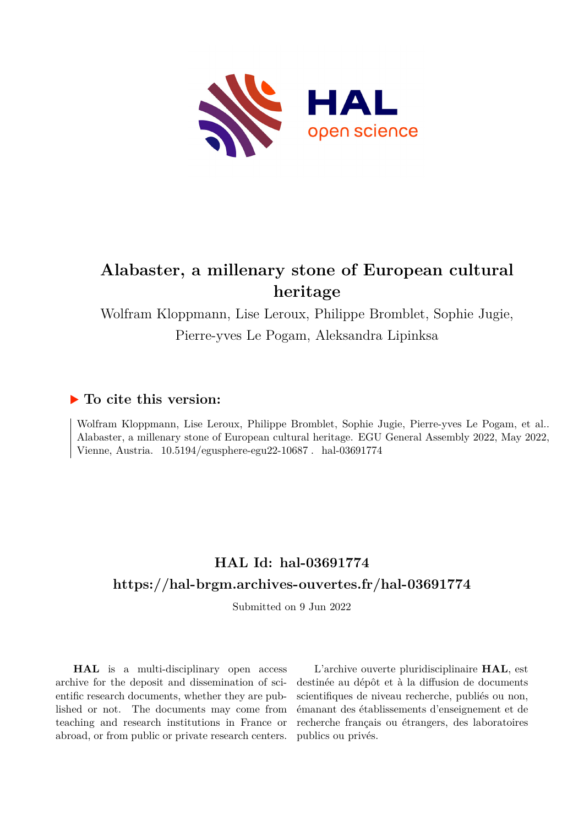

## **Alabaster, a millenary stone of European cultural heritage**

Wolfram Kloppmann, Lise Leroux, Philippe Bromblet, Sophie Jugie, Pierre-yves Le Pogam, Aleksandra Lipinksa

## **To cite this version:**

Wolfram Kloppmann, Lise Leroux, Philippe Bromblet, Sophie Jugie, Pierre-yves Le Pogam, et al.. Alabaster, a millenary stone of European cultural heritage. EGU General Assembly 2022, May 2022, Vienne, Austria.  $10.5194$ /egusphere-egu22-10687. hal-03691774

## **HAL Id: hal-03691774 <https://hal-brgm.archives-ouvertes.fr/hal-03691774>**

Submitted on 9 Jun 2022

**HAL** is a multi-disciplinary open access archive for the deposit and dissemination of scientific research documents, whether they are published or not. The documents may come from teaching and research institutions in France or abroad, or from public or private research centers.

L'archive ouverte pluridisciplinaire **HAL**, est destinée au dépôt et à la diffusion de documents scientifiques de niveau recherche, publiés ou non, émanant des établissements d'enseignement et de recherche français ou étrangers, des laboratoires publics ou privés.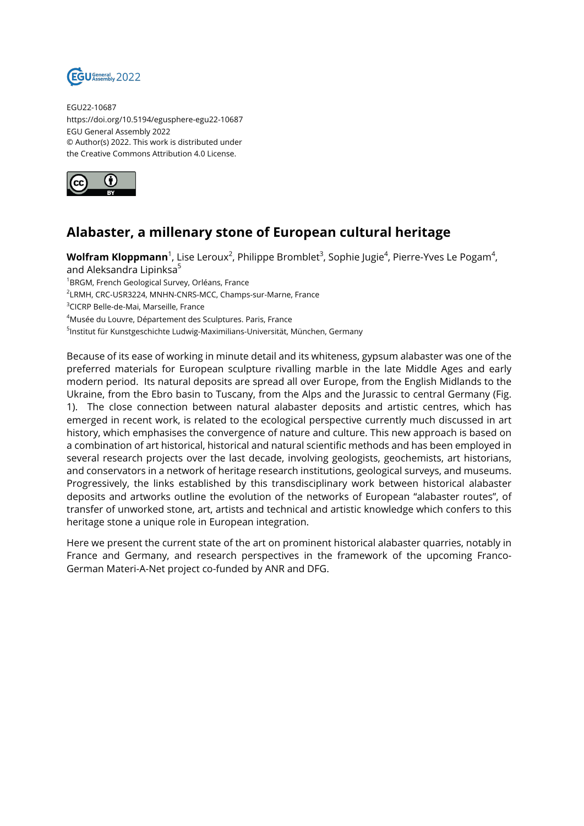

EGU22-10687 https://doi.org/10.5194/egusphere-egu22-10687 EGU General Assembly 2022 © Author(s) 2022. This work is distributed under the Creative Commons Attribution 4.0 License.



## **Alabaster, a millenary stone of European cultural heritage**

**Wolfram Kloppmann**<sup>1</sup>, Lise Leroux<sup>2</sup>, Philippe Bromblet<sup>3</sup>, Sophie Jugie<sup>4</sup>, Pierre-Yves Le Pogam<sup>4</sup>, and Aleksandra Lipinksa<sup>5</sup> <sup>1</sup>BRGM, French Geological Survey, Orléans, France 2 LRMH, CRC-USR3224, MNHN-CNRS-MCC, Champs-sur-Marne, France <sup>3</sup>CICRP Belle-de-Mai, Marseille, France <sup>4</sup>Musée du Louvre, Département des Sculptures. Paris, France <sup>5</sup>Institut für Kunstgeschichte Ludwig-Maximilians-Universität, München, Germany

Because of its ease of working in minute detail and its whiteness, gypsum alabaster was one of the preferred materials for European sculpture rivalling marble in the late Middle Ages and early modern period. Its natural deposits are spread all over Europe, from the English Midlands to the Ukraine, from the Ebro basin to Tuscany, from the Alps and the Jurassic to central Germany (Fig. 1). The close connection between natural alabaster deposits and artistic centres, which has emerged in recent work, is related to the ecological perspective currently much discussed in art history, which emphasises the convergence of nature and culture. This new approach is based on a combination of art historical, historical and natural scientific methods and has been employed in several research projects over the last decade, involving geologists, geochemists, art historians, and conservators in a network of heritage research institutions, geological surveys, and museums. Progressively, the links established by this transdisciplinary work between historical alabaster deposits and artworks outline the evolution of the networks of European "alabaster routes", of transfer of unworked stone, art, artists and technical and artistic knowledge which confers to this heritage stone a unique role in European integration.

Here we present the current state of the art on prominent historical alabaster quarries, notably in France and Germany, and research perspectives in the framework of the upcoming Franco-German Materi-A-Net project co-funded by ANR and DFG.